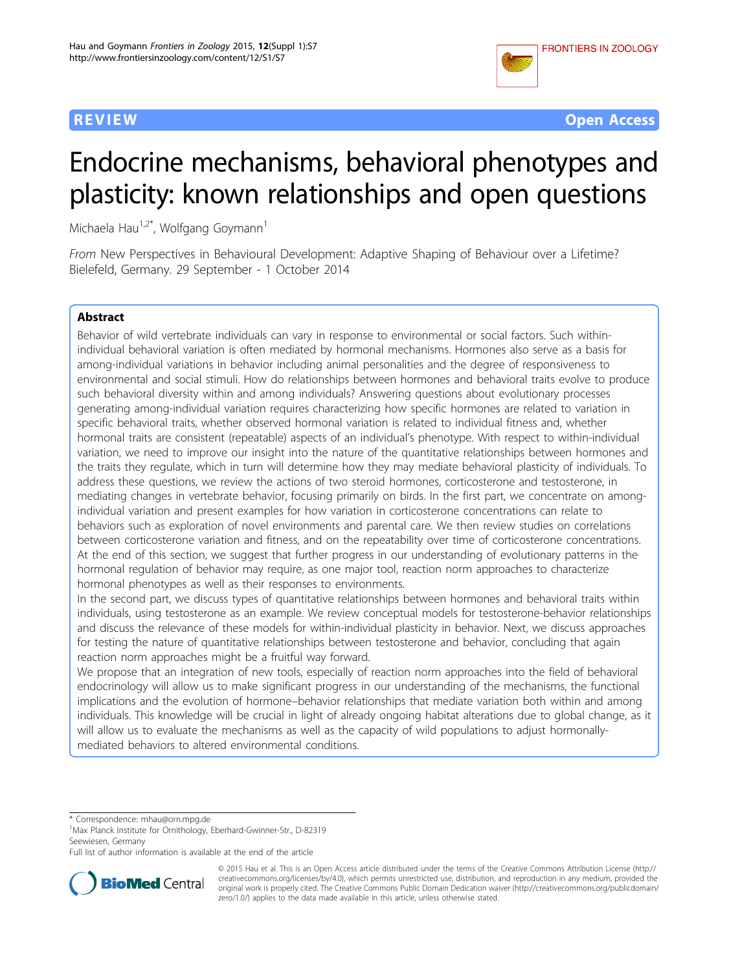

**REVIEW CONSIDERING CONSIDERING CONSIDERING CONSIDERING CONSIDERING CONSIDERING CONSIDERING CONSIDERING CONSIDERING CONSIDERING CONSIDERING CONSIDERING CONSIDERING CONSIDERING CONSIDERING CONSIDERING CONSIDERING CONSIDER** 

# Endocrine mechanisms, behavioral phenotypes and plasticity: known relationships and open questions

Michaela Hau<sup>1,2\*</sup>, Wolfgang Goymann<sup>1</sup>

From New Perspectives in Behavioural Development: Adaptive Shaping of Behaviour over a Lifetime? Bielefeld, Germany. 29 September - 1 October 2014

# Abstract

Behavior of wild vertebrate individuals can vary in response to environmental or social factors. Such withinindividual behavioral variation is often mediated by hormonal mechanisms. Hormones also serve as a basis for among-individual variations in behavior including animal personalities and the degree of responsiveness to environmental and social stimuli. How do relationships between hormones and behavioral traits evolve to produce such behavioral diversity within and among individuals? Answering questions about evolutionary processes generating among-individual variation requires characterizing how specific hormones are related to variation in specific behavioral traits, whether observed hormonal variation is related to individual fitness and, whether hormonal traits are consistent (repeatable) aspects of an individual's phenotype. With respect to within-individual variation, we need to improve our insight into the nature of the quantitative relationships between hormones and the traits they regulate, which in turn will determine how they may mediate behavioral plasticity of individuals. To address these questions, we review the actions of two steroid hormones, corticosterone and testosterone, in mediating changes in vertebrate behavior, focusing primarily on birds. In the first part, we concentrate on amongindividual variation and present examples for how variation in corticosterone concentrations can relate to behaviors such as exploration of novel environments and parental care. We then review studies on correlations between corticosterone variation and fitness, and on the repeatability over time of corticosterone concentrations. At the end of this section, we suggest that further progress in our understanding of evolutionary patterns in the hormonal regulation of behavior may require, as one major tool, reaction norm approaches to characterize hormonal phenotypes as well as their responses to environments.

In the second part, we discuss types of quantitative relationships between hormones and behavioral traits within individuals, using testosterone as an example. We review conceptual models for testosterone-behavior relationships and discuss the relevance of these models for within-individual plasticity in behavior. Next, we discuss approaches for testing the nature of quantitative relationships between testosterone and behavior, concluding that again reaction norm approaches might be a fruitful way forward.

We propose that an integration of new tools, especially of reaction norm approaches into the field of behavioral endocrinology will allow us to make significant progress in our understanding of the mechanisms, the functional implications and the evolution of hormone–behavior relationships that mediate variation both within and among individuals. This knowledge will be crucial in light of already ongoing habitat alterations due to global change, as it will allow us to evaluate the mechanisms as well as the capacity of wild populations to adjust hormonallymediated behaviors to altered environmental conditions.

\* Correspondence: [mhau@orn.mpg.de](mailto:mhau@orn.mpg.de)

Full list of author information is available at the end of the article



<sup>© 2015</sup> Hau et al. This is an Open Access article distributed under the terms of the Creative Commons Attribution License [\(http://](http://creativecommons.org/licenses/by/4.0) [creativecommons.org/licenses/by/4.0](http://creativecommons.org/licenses/by/4.0)), which permits unrestricted use, distribution, and reproduction in any medium, provided the original work is properly cited. The Creative Commons Public Domain Dedication waiver ([http://creativecommons.org/publicdomain/](http://creativecommons.org/publicdomain/zero/1.0/) [zero/1.0/](http://creativecommons.org/publicdomain/zero/1.0/)) applies to the data made available in this article, unless otherwise stated.

<sup>1</sup> Max Planck Institute for Ornithology, Eberhard-Gwinner-Str., D-82319 Seewiesen, Germany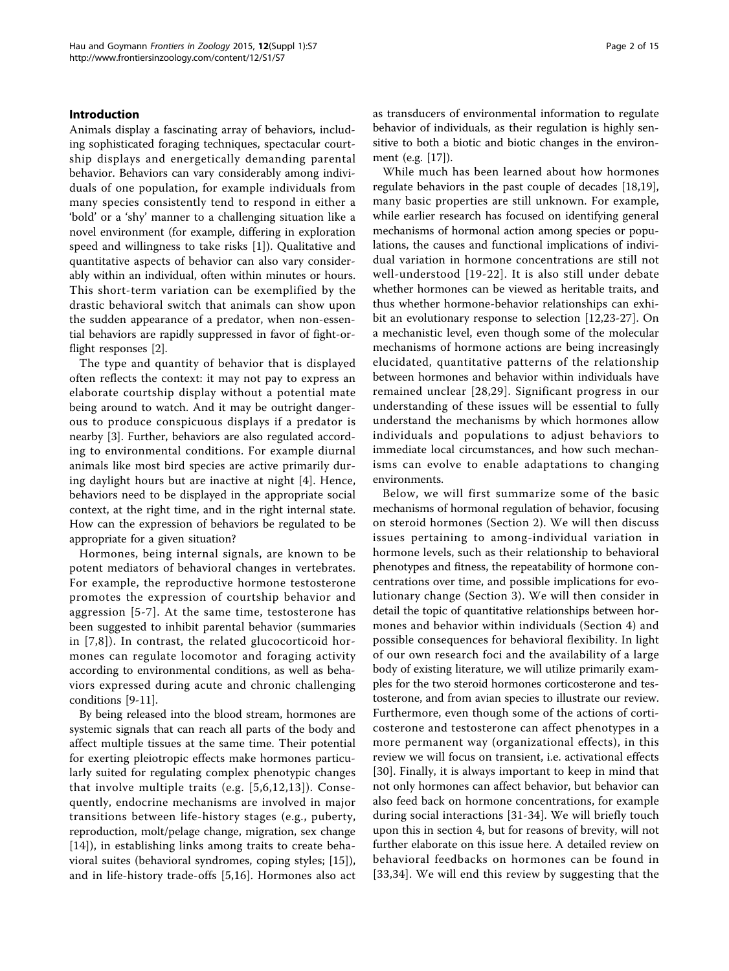## Introduction

Animals display a fascinating array of behaviors, including sophisticated foraging techniques, spectacular courtship displays and energetically demanding parental behavior. Behaviors can vary considerably among individuals of one population, for example individuals from many species consistently tend to respond in either a 'bold' or a 'shy' manner to a challenging situation like a novel environment (for example, differing in exploration speed and willingness to take risks [\[1](#page-11-0)]). Qualitative and quantitative aspects of behavior can also vary considerably within an individual, often within minutes or hours. This short-term variation can be exemplified by the drastic behavioral switch that animals can show upon the sudden appearance of a predator, when non-essential behaviors are rapidly suppressed in favor of fight-orflight responses [[2\]](#page-11-0).

The type and quantity of behavior that is displayed often reflects the context: it may not pay to express an elaborate courtship display without a potential mate being around to watch. And it may be outright dangerous to produce conspicuous displays if a predator is nearby [[3\]](#page-11-0). Further, behaviors are also regulated according to environmental conditions. For example diurnal animals like most bird species are active primarily during daylight hours but are inactive at night [\[4](#page-11-0)]. Hence, behaviors need to be displayed in the appropriate social context, at the right time, and in the right internal state. How can the expression of behaviors be regulated to be appropriate for a given situation?

Hormones, being internal signals, are known to be potent mediators of behavioral changes in vertebrates. For example, the reproductive hormone testosterone promotes the expression of courtship behavior and aggression [[5-7\]](#page-11-0). At the same time, testosterone has been suggested to inhibit parental behavior (summaries in [[7,8](#page-11-0)]). In contrast, the related glucocorticoid hormones can regulate locomotor and foraging activity according to environmental conditions, as well as behaviors expressed during acute and chronic challenging conditions [[9-11\]](#page-11-0).

By being released into the blood stream, hormones are systemic signals that can reach all parts of the body and affect multiple tissues at the same time. Their potential for exerting pleiotropic effects make hormones particularly suited for regulating complex phenotypic changes that involve multiple traits (e.g. [[5](#page-11-0),[6](#page-11-0),[12](#page-11-0),[13](#page-11-0)]). Consequently, endocrine mechanisms are involved in major transitions between life-history stages (e.g., puberty, reproduction, molt/pelage change, migration, sex change [[14](#page-11-0)]), in establishing links among traits to create behavioral suites (behavioral syndromes, coping styles; [\[15\]](#page-11-0)), and in life-history trade-offs [[5,16](#page-11-0)]. Hormones also act as transducers of environmental information to regulate behavior of individuals, as their regulation is highly sensitive to both a biotic and biotic changes in the environment (e.g. [[17\]](#page-11-0)).

While much has been learned about how hormones regulate behaviors in the past couple of decades [\[18,19](#page-12-0)], many basic properties are still unknown. For example, while earlier research has focused on identifying general mechanisms of hormonal action among species or populations, the causes and functional implications of individual variation in hormone concentrations are still not well-understood [[19](#page-12-0)-[22](#page-12-0)]. It is also still under debate whether hormones can be viewed as heritable traits, and thus whether hormone-behavior relationships can exhibit an evolutionary response to selection [[12](#page-11-0)[,23](#page-12-0)-[27\]](#page-12-0). On a mechanistic level, even though some of the molecular mechanisms of hormone actions are being increasingly elucidated, quantitative patterns of the relationship between hormones and behavior within individuals have remained unclear [\[28,29\]](#page-12-0). Significant progress in our understanding of these issues will be essential to fully understand the mechanisms by which hormones allow individuals and populations to adjust behaviors to immediate local circumstances, and how such mechanisms can evolve to enable adaptations to changing environments.

Below, we will first summarize some of the basic mechanisms of hormonal regulation of behavior, focusing on steroid hormones (Section 2). We will then discuss issues pertaining to among-individual variation in hormone levels, such as their relationship to behavioral phenotypes and fitness, the repeatability of hormone concentrations over time, and possible implications for evolutionary change (Section 3). We will then consider in detail the topic of quantitative relationships between hormones and behavior within individuals (Section 4) and possible consequences for behavioral flexibility. In light of our own research foci and the availability of a large body of existing literature, we will utilize primarily examples for the two steroid hormones corticosterone and testosterone, and from avian species to illustrate our review. Furthermore, even though some of the actions of corticosterone and testosterone can affect phenotypes in a more permanent way (organizational effects), in this review we will focus on transient, i.e. activational effects [[30](#page-12-0)]. Finally, it is always important to keep in mind that not only hormones can affect behavior, but behavior can also feed back on hormone concentrations, for example during social interactions [[31-34](#page-12-0)]. We will briefly touch upon this in section 4, but for reasons of brevity, will not further elaborate on this issue here. A detailed review on behavioral feedbacks on hormones can be found in [[33](#page-12-0),[34](#page-12-0)]. We will end this review by suggesting that the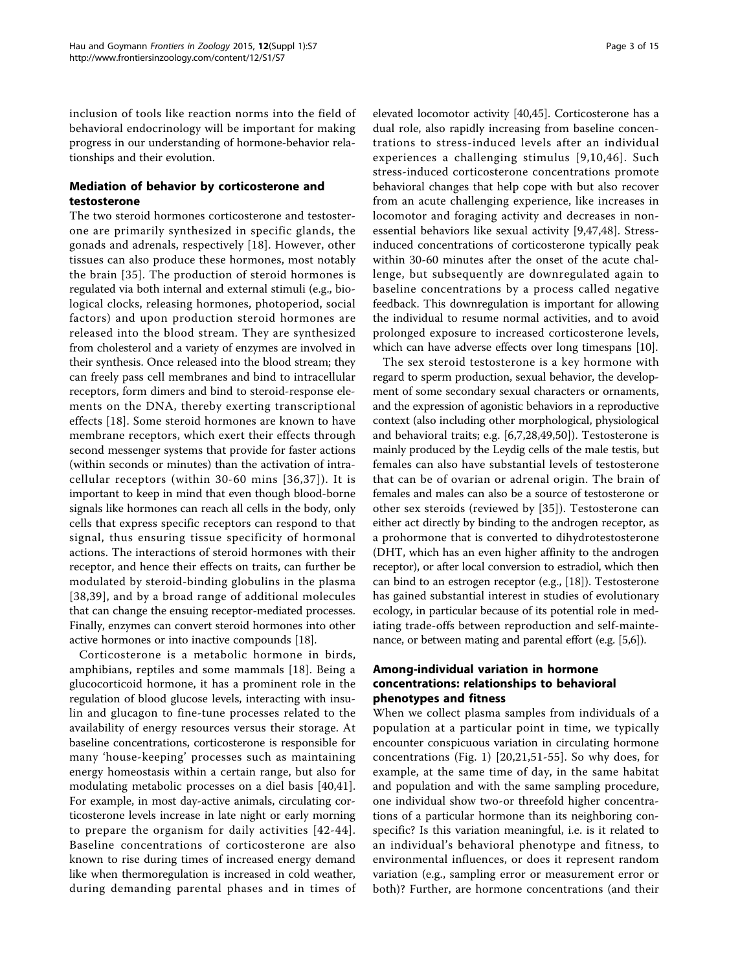inclusion of tools like reaction norms into the field of behavioral endocrinology will be important for making progress in our understanding of hormone-behavior relationships and their evolution.

# Mediation of behavior by corticosterone and testosterone

The two steroid hormones corticosterone and testosterone are primarily synthesized in specific glands, the gonads and adrenals, respectively [[18\]](#page-12-0). However, other tissues can also produce these hormones, most notably the brain [[35\]](#page-12-0). The production of steroid hormones is regulated via both internal and external stimuli (e.g., biological clocks, releasing hormones, photoperiod, social factors) and upon production steroid hormones are released into the blood stream. They are synthesized from cholesterol and a variety of enzymes are involved in their synthesis. Once released into the blood stream; they can freely pass cell membranes and bind to intracellular receptors, form dimers and bind to steroid-response elements on the DNA, thereby exerting transcriptional effects [[18](#page-12-0)]. Some steroid hormones are known to have membrane receptors, which exert their effects through second messenger systems that provide for faster actions (within seconds or minutes) than the activation of intracellular receptors (within 30-60 mins [[36](#page-12-0),[37\]](#page-12-0)). It is important to keep in mind that even though blood-borne signals like hormones can reach all cells in the body, only cells that express specific receptors can respond to that signal, thus ensuring tissue specificity of hormonal actions. The interactions of steroid hormones with their receptor, and hence their effects on traits, can further be modulated by steroid-binding globulins in the plasma [[38,39\]](#page-12-0), and by a broad range of additional molecules that can change the ensuing receptor-mediated processes. Finally, enzymes can convert steroid hormones into other active hormones or into inactive compounds [[18\]](#page-12-0).

Corticosterone is a metabolic hormone in birds, amphibians, reptiles and some mammals [[18\]](#page-12-0). Being a glucocorticoid hormone, it has a prominent role in the regulation of blood glucose levels, interacting with insulin and glucagon to fine-tune processes related to the availability of energy resources versus their storage. At baseline concentrations, corticosterone is responsible for many 'house-keeping' processes such as maintaining energy homeostasis within a certain range, but also for modulating metabolic processes on a diel basis [[40,41](#page-12-0)]. For example, in most day-active animals, circulating corticosterone levels increase in late night or early morning to prepare the organism for daily activities [[42](#page-12-0)-[44\]](#page-12-0). Baseline concentrations of corticosterone are also known to rise during times of increased energy demand like when thermoregulation is increased in cold weather, during demanding parental phases and in times of

elevated locomotor activity [[40,45\]](#page-12-0). Corticosterone has a dual role, also rapidly increasing from baseline concentrations to stress-induced levels after an individual experiences a challenging stimulus [[9,10](#page-11-0),[46](#page-12-0)]. Such stress-induced corticosterone concentrations promote behavioral changes that help cope with but also recover from an acute challenging experience, like increases in locomotor and foraging activity and decreases in nonessential behaviors like sexual activity [[9,](#page-11-0)[47,48](#page-12-0)]. Stressinduced concentrations of corticosterone typically peak within 30-60 minutes after the onset of the acute challenge, but subsequently are downregulated again to baseline concentrations by a process called negative feedback. This downregulation is important for allowing the individual to resume normal activities, and to avoid prolonged exposure to increased corticosterone levels, which can have adverse effects over long timespans [[10\]](#page-11-0).

The sex steroid testosterone is a key hormone with regard to sperm production, sexual behavior, the development of some secondary sexual characters or ornaments, and the expression of agonistic behaviors in a reproductive context (also including other morphological, physiological and behavioral traits; e.g. [[6,7](#page-11-0)[,28](#page-12-0),[49,50\]](#page-12-0)). Testosterone is mainly produced by the Leydig cells of the male testis, but females can also have substantial levels of testosterone that can be of ovarian or adrenal origin. The brain of females and males can also be a source of testosterone or other sex steroids (reviewed by [\[35\]](#page-12-0)). Testosterone can either act directly by binding to the androgen receptor, as a prohormone that is converted to dihydrotestosterone (DHT, which has an even higher affinity to the androgen receptor), or after local conversion to estradiol, which then can bind to an estrogen receptor (e.g., [[18\]](#page-12-0)). Testosterone has gained substantial interest in studies of evolutionary ecology, in particular because of its potential role in mediating trade-offs between reproduction and self-maintenance, or between mating and parental effort (e.g. [\[5,6](#page-11-0)]).

# Among-individual variation in hormone concentrations: relationships to behavioral phenotypes and fitness

When we collect plasma samples from individuals of a population at a particular point in time, we typically encounter conspicuous variation in circulating hormone concentrations (Fig. [1](#page-3-0)) [[20,21](#page-12-0),[51-55\]](#page-12-0). So why does, for example, at the same time of day, in the same habitat and population and with the same sampling procedure, one individual show two-or threefold higher concentrations of a particular hormone than its neighboring conspecific? Is this variation meaningful, i.e. is it related to an individual's behavioral phenotype and fitness, to environmental influences, or does it represent random variation (e.g., sampling error or measurement error or both)? Further, are hormone concentrations (and their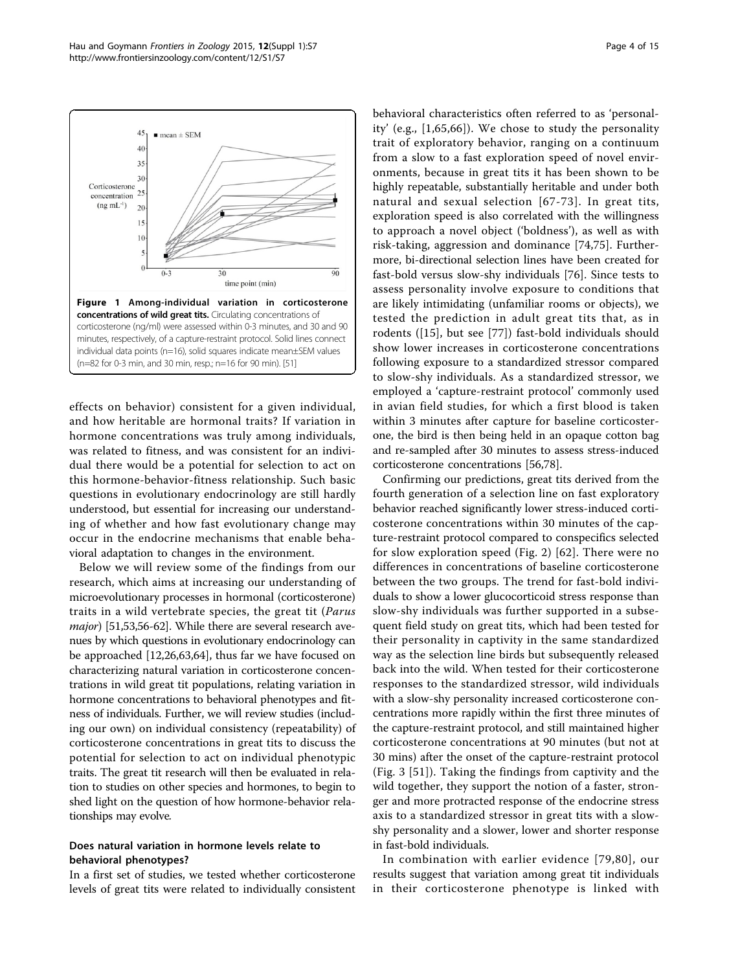effects on behavior) consistent for a given individual, and how heritable are hormonal traits? If variation in hormone concentrations was truly among individuals, was related to fitness, and was consistent for an individual there would be a potential for selection to act on this hormone-behavior-fitness relationship. Such basic questions in evolutionary endocrinology are still hardly understood, but essential for increasing our understanding of whether and how fast evolutionary change may occur in the endocrine mechanisms that enable behavioral adaptation to changes in the environment.

Below we will review some of the findings from our research, which aims at increasing our understanding of microevolutionary processes in hormonal (corticosterone) traits in a wild vertebrate species, the great tit (Parus major) [\[51,53,56-62](#page-12-0)]. While there are several research avenues by which questions in evolutionary endocrinology can be approached [\[12](#page-11-0)[,26,63,64\]](#page-12-0), thus far we have focused on characterizing natural variation in corticosterone concentrations in wild great tit populations, relating variation in hormone concentrations to behavioral phenotypes and fitness of individuals. Further, we will review studies (including our own) on individual consistency (repeatability) of corticosterone concentrations in great tits to discuss the potential for selection to act on individual phenotypic traits. The great tit research will then be evaluated in relation to studies on other species and hormones, to begin to shed light on the question of how hormone-behavior relationships may evolve.

# Does natural variation in hormone levels relate to behavioral phenotypes?

In a first set of studies, we tested whether corticosterone levels of great tits were related to individually consistent behavioral characteristics often referred to as 'personality' (e.g., [[1](#page-11-0)[,65,66](#page-12-0)]). We chose to study the personality trait of exploratory behavior, ranging on a continuum from a slow to a fast exploration speed of novel environments, because in great tits it has been shown to be highly repeatable, substantially heritable and under both natural and sexual selection [[67](#page-12-0)-[73](#page-13-0)]. In great tits, exploration speed is also correlated with the willingness to approach a novel object ('boldness'), as well as with risk-taking, aggression and dominance [[74,75\]](#page-13-0). Furthermore, bi-directional selection lines have been created for fast-bold versus slow-shy individuals [\[76](#page-13-0)]. Since tests to assess personality involve exposure to conditions that are likely intimidating (unfamiliar rooms or objects), we tested the prediction in adult great tits that, as in rodents ([\[15](#page-11-0)], but see [[77](#page-13-0)]) fast-bold individuals should show lower increases in corticosterone concentrations following exposure to a standardized stressor compared to slow-shy individuals. As a standardized stressor, we employed a 'capture-restraint protocol' commonly used in avian field studies, for which a first blood is taken within 3 minutes after capture for baseline corticosterone, the bird is then being held in an opaque cotton bag and re-sampled after 30 minutes to assess stress-induced corticosterone concentrations [[56](#page-12-0)[,78](#page-13-0)].

Confirming our predictions, great tits derived from the fourth generation of a selection line on fast exploratory behavior reached significantly lower stress-induced corticosterone concentrations within 30 minutes of the capture-restraint protocol compared to conspecifics selected for slow exploration speed (Fig. [2\)](#page-4-0) [\[62\]](#page-12-0). There were no differences in concentrations of baseline corticosterone between the two groups. The trend for fast-bold individuals to show a lower glucocorticoid stress response than slow-shy individuals was further supported in a subsequent field study on great tits, which had been tested for their personality in captivity in the same standardized way as the selection line birds but subsequently released back into the wild. When tested for their corticosterone responses to the standardized stressor, wild individuals with a slow-shy personality increased corticosterone concentrations more rapidly within the first three minutes of the capture-restraint protocol, and still maintained higher corticosterone concentrations at 90 minutes (but not at 30 mins) after the onset of the capture-restraint protocol (Fig. [3](#page-4-0) [\[51\]](#page-12-0)). Taking the findings from captivity and the wild together, they support the notion of a faster, stronger and more protracted response of the endocrine stress axis to a standardized stressor in great tits with a slowshy personality and a slower, lower and shorter response in fast-bold individuals.

In combination with earlier evidence [[79](#page-13-0),[80](#page-13-0)], our results suggest that variation among great tit individuals in their corticosterone phenotype is linked with

<span id="page-3-0"></span>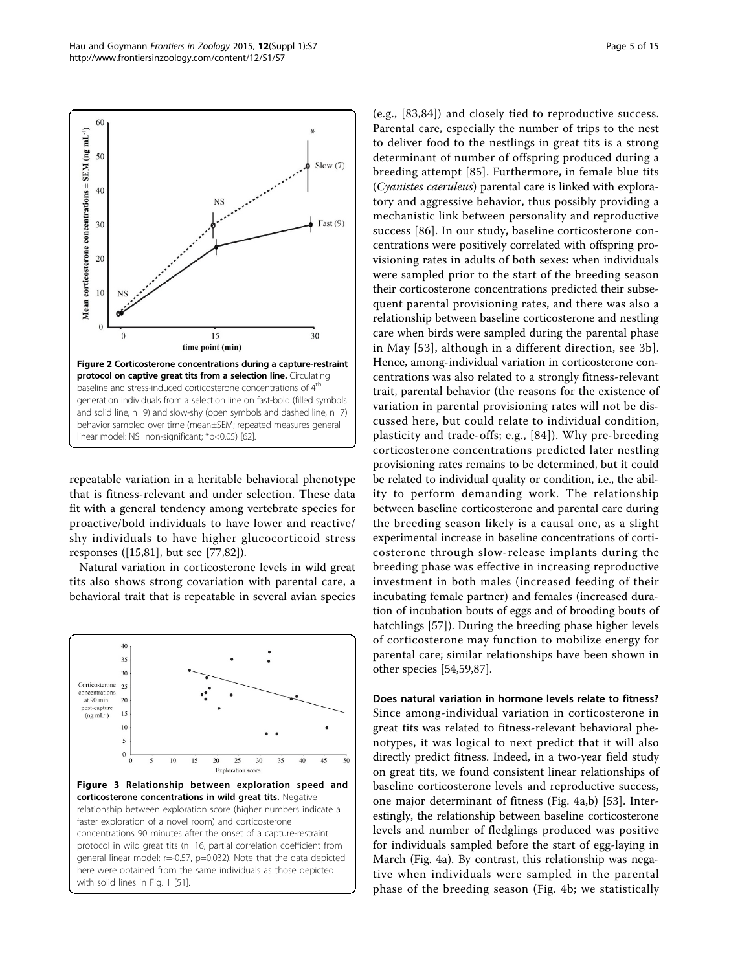repeatable variation in a heritable behavioral phenotype that is fitness-relevant and under selection. These data fit with a general tendency among vertebrate species for proactive/bold individuals to have lower and reactive/ shy individuals to have higher glucocorticoid stress responses ([[15](#page-11-0),[81](#page-13-0)], but see [\[77,82](#page-13-0)]).

Natural variation in corticosterone levels in wild great tits also shows strong covariation with parental care, a behavioral trait that is repeatable in several avian species

> $40$  $3<sup>4</sup>$  $\overline{3}$

 $^{2}$ 

 $\overline{2}$ 

 $15$  $\overline{10}$ 5

Corticosterone

concentrations at 90 min

post-capture  $(ng \text{ mL}^{-1})$ 



(e.g., [[83,84](#page-13-0)]) and closely tied to reproductive success. Parental care, especially the number of trips to the nest to deliver food to the nestlings in great tits is a strong determinant of number of offspring produced during a breeding attempt [[85](#page-13-0)]. Furthermore, in female blue tits (Cyanistes caeruleus) parental care is linked with exploratory and aggressive behavior, thus possibly providing a mechanistic link between personality and reproductive success [[86](#page-13-0)]. In our study, baseline corticosterone concentrations were positively correlated with offspring provisioning rates in adults of both sexes: when individuals were sampled prior to the start of the breeding season their corticosterone concentrations predicted their subsequent parental provisioning rates, and there was also a relationship between baseline corticosterone and nestling care when birds were sampled during the parental phase in May [[53\]](#page-12-0), although in a different direction, see 3b]. Hence, among-individual variation in corticosterone concentrations was also related to a strongly fitness-relevant trait, parental behavior (the reasons for the existence of variation in parental provisioning rates will not be discussed here, but could relate to individual condition, plasticity and trade-offs; e.g., [[84](#page-13-0)]). Why pre-breeding corticosterone concentrations predicted later nestling provisioning rates remains to be determined, but it could be related to individual quality or condition, i.e., the ability to perform demanding work. The relationship between baseline corticosterone and parental care during the breeding season likely is a causal one, as a slight experimental increase in baseline concentrations of corticosterone through slow-release implants during the breeding phase was effective in increasing reproductive investment in both males (increased feeding of their incubating female partner) and females (increased duration of incubation bouts of eggs and of brooding bouts of hatchlings [[57\]](#page-12-0)). During the breeding phase higher levels of corticosterone may function to mobilize energy for parental care; similar relationships have been shown in other species [\[54,59,](#page-12-0)[87\]](#page-13-0).

Does natural variation in hormone levels relate to fitness? Since among-individual variation in corticosterone in great tits was related to fitness-relevant behavioral phenotypes, it was logical to next predict that it will also directly predict fitness. Indeed, in a two-year field study on great tits, we found consistent linear relationships of baseline corticosterone levels and reproductive success, one major determinant of fitness (Fig. [4a,b\)](#page-5-0) [[53\]](#page-12-0). Interestingly, the relationship between baseline corticosterone levels and number of fledglings produced was positive for individuals sampled before the start of egg-laying in March (Fig. [4a\)](#page-5-0). By contrast, this relationship was negative when individuals were sampled in the parental phase of the breeding season (Fig. [4b;](#page-5-0) we statistically

<span id="page-4-0"></span>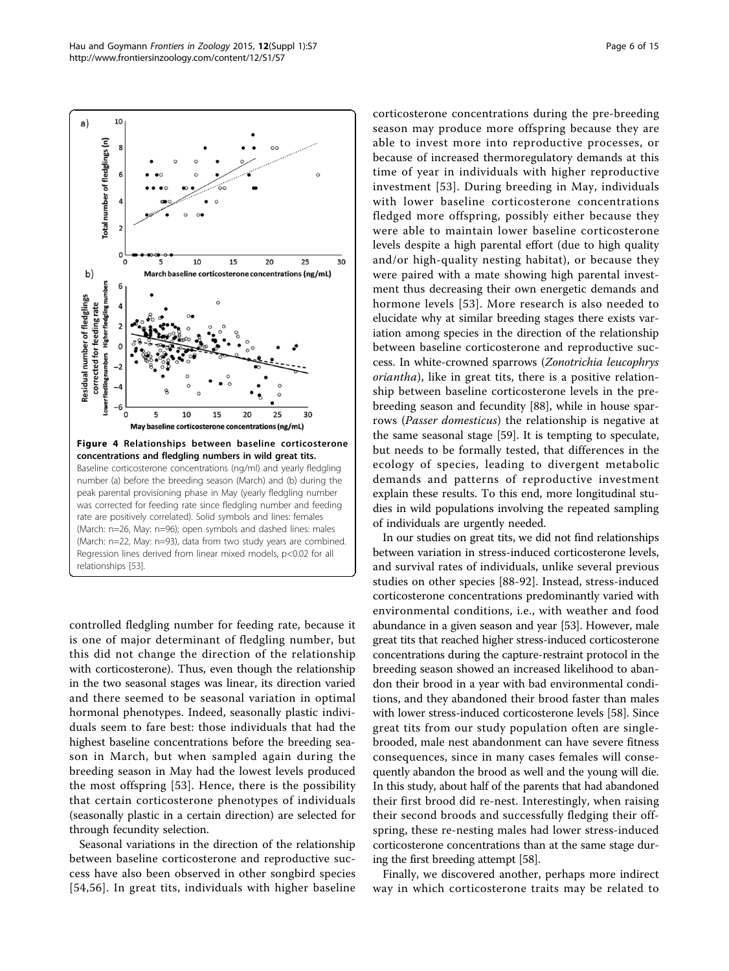<span id="page-5-0"></span>

controlled fledgling number for feeding rate, because it is one of major determinant of fledgling number, but this did not change the direction of the relationship with corticosterone). Thus, even though the relationship in the two seasonal stages was linear, its direction varied and there seemed to be seasonal variation in optimal hormonal phenotypes. Indeed, seasonally plastic individuals seem to fare best: those individuals that had the highest baseline concentrations before the breeding season in March, but when sampled again during the breeding season in May had the lowest levels produced the most offspring [[53](#page-12-0)]. Hence, there is the possibility that certain corticosterone phenotypes of individuals (seasonally plastic in a certain direction) are selected for through fecundity selection.

Seasonal variations in the direction of the relationship between baseline corticosterone and reproductive success have also been observed in other songbird species [[54,56](#page-12-0)]. In great tits, individuals with higher baseline corticosterone concentrations during the pre-breeding season may produce more offspring because they are able to invest more into reproductive processes, or because of increased thermoregulatory demands at this time of year in individuals with higher reproductive investment [[53\]](#page-12-0). During breeding in May, individuals with lower baseline corticosterone concentrations fledged more offspring, possibly either because they were able to maintain lower baseline corticosterone levels despite a high parental effort (due to high quality and/or high-quality nesting habitat), or because they were paired with a mate showing high parental investment thus decreasing their own energetic demands and hormone levels [[53\]](#page-12-0). More research is also needed to elucidate why at similar breeding stages there exists variation among species in the direction of the relationship between baseline corticosterone and reproductive success. In white-crowned sparrows (Zonotrichia leucophrys oriantha), like in great tits, there is a positive relationship between baseline corticosterone levels in the prebreeding season and fecundity [\[88\]](#page-13-0), while in house sparrows (Passer domesticus) the relationship is negative at the same seasonal stage [\[59\]](#page-12-0). It is tempting to speculate, but needs to be formally tested, that differences in the ecology of species, leading to divergent metabolic demands and patterns of reproductive investment explain these results. To this end, more longitudinal studies in wild populations involving the repeated sampling of individuals are urgently needed.

In our studies on great tits, we did not find relationships between variation in stress-induced corticosterone levels, and survival rates of individuals, unlike several previous studies on other species [[88-92\]](#page-13-0). Instead, stress-induced corticosterone concentrations predominantly varied with environmental conditions, i.e., with weather and food abundance in a given season and year [\[53\]](#page-12-0). However, male great tits that reached higher stress-induced corticosterone concentrations during the capture-restraint protocol in the breeding season showed an increased likelihood to abandon their brood in a year with bad environmental conditions, and they abandoned their brood faster than males with lower stress-induced corticosterone levels [\[58](#page-12-0)]. Since great tits from our study population often are singlebrooded, male nest abandonment can have severe fitness consequences, since in many cases females will consequently abandon the brood as well and the young will die. In this study, about half of the parents that had abandoned their first brood did re-nest. Interestingly, when raising their second broods and successfully fledging their offspring, these re-nesting males had lower stress-induced corticosterone concentrations than at the same stage during the first breeding attempt [\[58\]](#page-12-0).

Finally, we discovered another, perhaps more indirect way in which corticosterone traits may be related to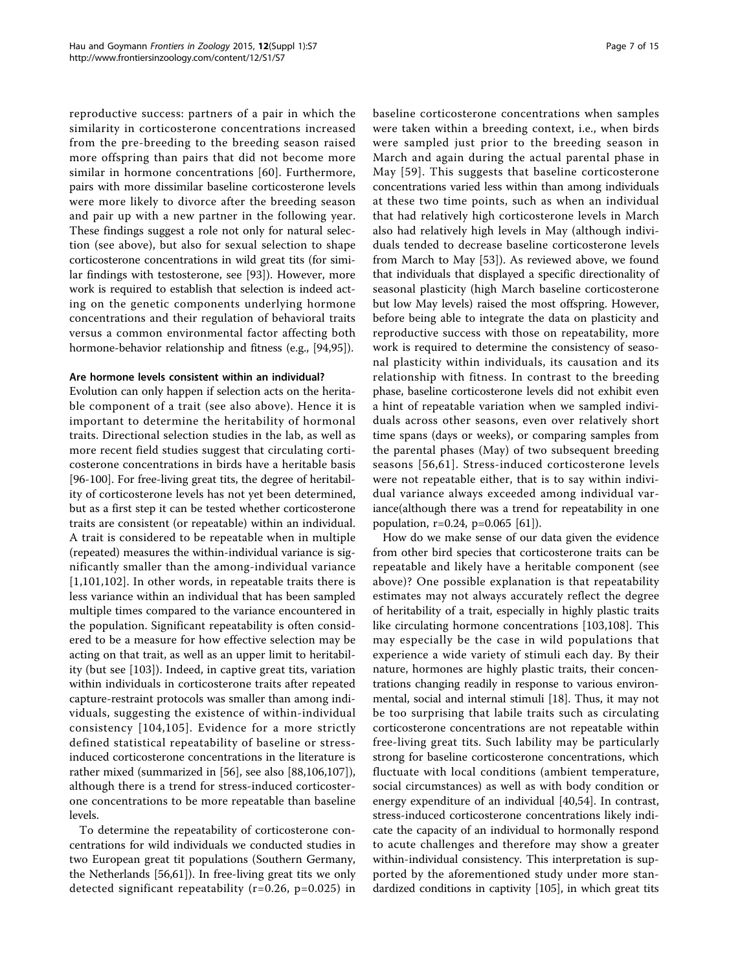reproductive success: partners of a pair in which the similarity in corticosterone concentrations increased from the pre-breeding to the breeding season raised more offspring than pairs that did not become more similar in hormone concentrations [\[60\]](#page-12-0). Furthermore, pairs with more dissimilar baseline corticosterone levels were more likely to divorce after the breeding season and pair up with a new partner in the following year. These findings suggest a role not only for natural selection (see above), but also for sexual selection to shape corticosterone concentrations in wild great tits (for similar findings with testosterone, see [\[93](#page-13-0)]). However, more work is required to establish that selection is indeed acting on the genetic components underlying hormone concentrations and their regulation of behavioral traits versus a common environmental factor affecting both hormone-behavior relationship and fitness (e.g., [[94,95\]](#page-13-0)).

#### Are hormone levels consistent within an individual?

Evolution can only happen if selection acts on the heritable component of a trait (see also above). Hence it is important to determine the heritability of hormonal traits. Directional selection studies in the lab, as well as more recent field studies suggest that circulating corticosterone concentrations in birds have a heritable basis [[96-100\]](#page-13-0). For free-living great tits, the degree of heritability of corticosterone levels has not yet been determined, but as a first step it can be tested whether corticosterone traits are consistent (or repeatable) within an individual. A trait is considered to be repeatable when in multiple (repeated) measures the within-individual variance is significantly smaller than the among-individual variance [[1](#page-11-0)[,101,102](#page-13-0)]. In other words, in repeatable traits there is less variance within an individual that has been sampled multiple times compared to the variance encountered in the population. Significant repeatability is often considered to be a measure for how effective selection may be acting on that trait, as well as an upper limit to heritability (but see [[103\]](#page-13-0)). Indeed, in captive great tits, variation within individuals in corticosterone traits after repeated capture-restraint protocols was smaller than among individuals, suggesting the existence of within-individual consistency [\[104,105](#page-13-0)]. Evidence for a more strictly defined statistical repeatability of baseline or stressinduced corticosterone concentrations in the literature is rather mixed (summarized in [[56\]](#page-12-0), see also [\[88,106,107\]](#page-13-0)), although there is a trend for stress-induced corticosterone concentrations to be more repeatable than baseline levels.

To determine the repeatability of corticosterone concentrations for wild individuals we conducted studies in two European great tit populations (Southern Germany, the Netherlands [\[56,61\]](#page-12-0)). In free-living great tits we only detected significant repeatability  $(r=0.26, p=0.025)$  in baseline corticosterone concentrations when samples were taken within a breeding context, i.e., when birds were sampled just prior to the breeding season in March and again during the actual parental phase in May [[59](#page-12-0)]. This suggests that baseline corticosterone concentrations varied less within than among individuals at these two time points, such as when an individual that had relatively high corticosterone levels in March also had relatively high levels in May (although individuals tended to decrease baseline corticosterone levels from March to May [[53\]](#page-12-0)). As reviewed above, we found that individuals that displayed a specific directionality of seasonal plasticity (high March baseline corticosterone but low May levels) raised the most offspring. However, before being able to integrate the data on plasticity and reproductive success with those on repeatability, more work is required to determine the consistency of seasonal plasticity within individuals, its causation and its relationship with fitness. In contrast to the breeding phase, baseline corticosterone levels did not exhibit even a hint of repeatable variation when we sampled individuals across other seasons, even over relatively short time spans (days or weeks), or comparing samples from the parental phases (May) of two subsequent breeding seasons [[56,61\]](#page-12-0). Stress-induced corticosterone levels were not repeatable either, that is to say within individual variance always exceeded among individual variance(although there was a trend for repeatability in one population, r=0.24, p=0.065 [\[61](#page-12-0)]).

How do we make sense of our data given the evidence from other bird species that corticosterone traits can be repeatable and likely have a heritable component (see above)? One possible explanation is that repeatability estimates may not always accurately reflect the degree of heritability of a trait, especially in highly plastic traits like circulating hormone concentrations [\[103,108](#page-13-0)]. This may especially be the case in wild populations that experience a wide variety of stimuli each day. By their nature, hormones are highly plastic traits, their concentrations changing readily in response to various environmental, social and internal stimuli [\[18](#page-12-0)]. Thus, it may not be too surprising that labile traits such as circulating corticosterone concentrations are not repeatable within free-living great tits. Such lability may be particularly strong for baseline corticosterone concentrations, which fluctuate with local conditions (ambient temperature, social circumstances) as well as with body condition or energy expenditure of an individual [[40,54\]](#page-12-0). In contrast, stress-induced corticosterone concentrations likely indicate the capacity of an individual to hormonally respond to acute challenges and therefore may show a greater within-individual consistency. This interpretation is supported by the aforementioned study under more standardized conditions in captivity [\[105](#page-13-0)], in which great tits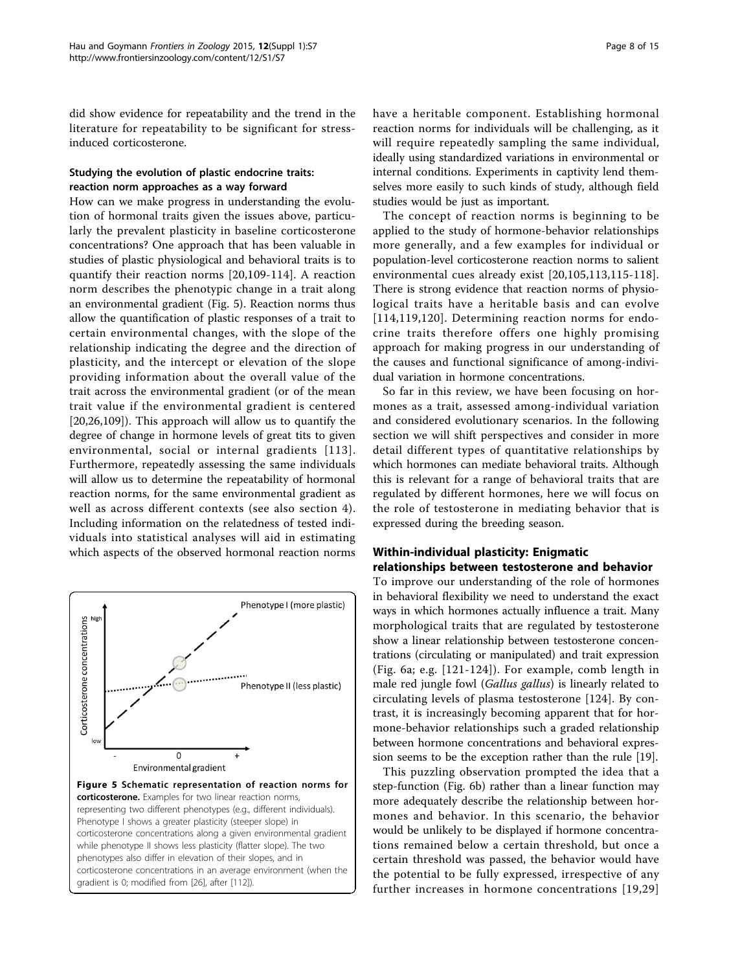did show evidence for repeatability and the trend in the literature for repeatability to be significant for stressinduced corticosterone.

# Studying the evolution of plastic endocrine traits: reaction norm approaches as a way forward

How can we make progress in understanding the evolution of hormonal traits given the issues above, particularly the prevalent plasticity in baseline corticosterone concentrations? One approach that has been valuable in studies of plastic physiological and behavioral traits is to quantify their reaction norms [[20](#page-12-0)[,109-114\]](#page-13-0). A reaction norm describes the phenotypic change in a trait along an environmental gradient (Fig. 5). Reaction norms thus allow the quantification of plastic responses of a trait to certain environmental changes, with the slope of the relationship indicating the degree and the direction of plasticity, and the intercept or elevation of the slope providing information about the overall value of the trait across the environmental gradient (or of the mean trait value if the environmental gradient is centered [[20,26,](#page-12-0)[109\]](#page-13-0)). This approach will allow us to quantify the degree of change in hormone levels of great tits to given environmental, social or internal gradients [[113\]](#page-13-0). Furthermore, repeatedly assessing the same individuals will allow us to determine the repeatability of hormonal reaction norms, for the same environmental gradient as well as across different contexts (see also section 4). Including information on the relatedness of tested individuals into statistical analyses will aid in estimating which aspects of the observed hormonal reaction norms



representing two different phenotypes (e.g., different individuals). Phenotype I shows a greater plasticity (steeper slope) in corticosterone concentrations along a given environmental gradient while phenotype II shows less plasticity (flatter slope). The two phenotypes also differ in elevation of their slopes, and in corticosterone concentrations in an average environment (when the gradient is 0; modified from [\[26\]](#page-12-0), after [[112](#page-13-0)]).

have a heritable component. Establishing hormonal reaction norms for individuals will be challenging, as it will require repeatedly sampling the same individual, ideally using standardized variations in environmental or internal conditions. Experiments in captivity lend themselves more easily to such kinds of study, although field studies would be just as important.

The concept of reaction norms is beginning to be applied to the study of hormone-behavior relationships more generally, and a few examples for individual or population-level corticosterone reaction norms to salient environmental cues already exist [\[20,](#page-12-0)[105,113,115](#page-13-0)-[118](#page-14-0)]. There is strong evidence that reaction norms of physiological traits have a heritable basis and can evolve [[114,](#page-13-0)[119,120\]](#page-14-0). Determining reaction norms for endocrine traits therefore offers one highly promising approach for making progress in our understanding of the causes and functional significance of among-individual variation in hormone concentrations.

So far in this review, we have been focusing on hormones as a trait, assessed among-individual variation and considered evolutionary scenarios. In the following section we will shift perspectives and consider in more detail different types of quantitative relationships by which hormones can mediate behavioral traits. Although this is relevant for a range of behavioral traits that are regulated by different hormones, here we will focus on the role of testosterone in mediating behavior that is expressed during the breeding season.

# Within-individual plasticity: Enigmatic relationships between testosterone and behavior

To improve our understanding of the role of hormones in behavioral flexibility we need to understand the exact ways in which hormones actually influence a trait. Many morphological traits that are regulated by testosterone show a linear relationship between testosterone concentrations (circulating or manipulated) and trait expression (Fig. [6a](#page-8-0); e.g. [[121](#page-14-0)-[124](#page-14-0)]). For example, comb length in male red jungle fowl (Gallus gallus) is linearly related to circulating levels of plasma testosterone [[124\]](#page-14-0). By contrast, it is increasingly becoming apparent that for hormone-behavior relationships such a graded relationship between hormone concentrations and behavioral expression seems to be the exception rather than the rule [[19\]](#page-12-0).

This puzzling observation prompted the idea that a step-function (Fig. [6b\)](#page-8-0) rather than a linear function may more adequately describe the relationship between hormones and behavior. In this scenario, the behavior would be unlikely to be displayed if hormone concentrations remained below a certain threshold, but once a certain threshold was passed, the behavior would have the potential to be fully expressed, irrespective of any further increases in hormone concentrations [[19](#page-12-0),[29](#page-12-0)]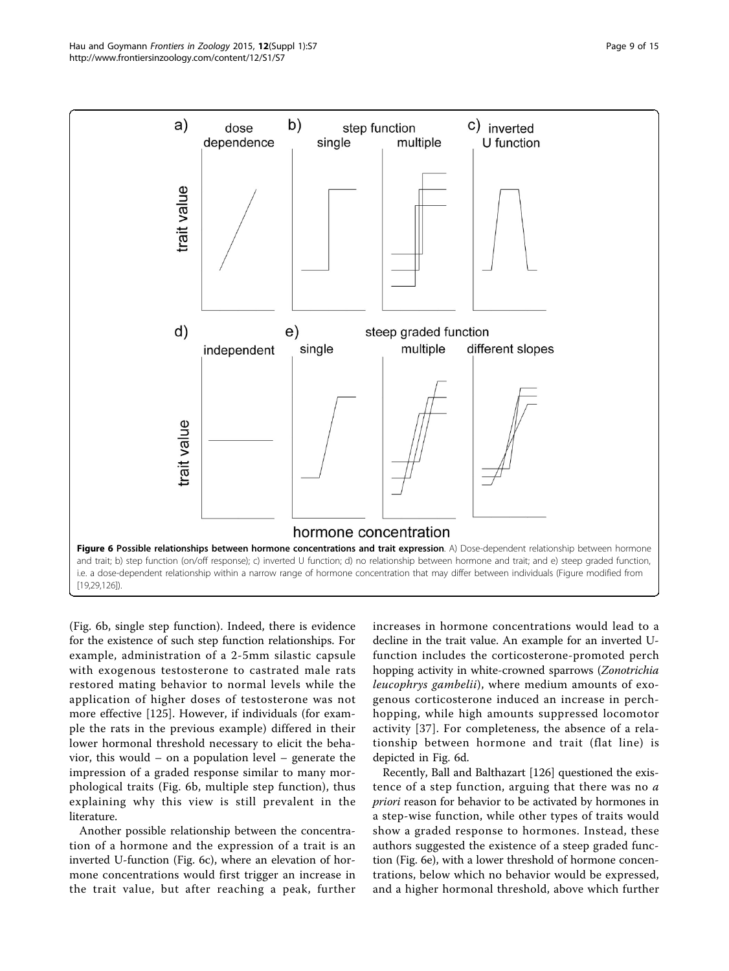<span id="page-8-0"></span>

(Fig. 6b, single step function). Indeed, there is evidence for the existence of such step function relationships. For example, administration of a 2-5mm silastic capsule with exogenous testosterone to castrated male rats restored mating behavior to normal levels while the application of higher doses of testosterone was not more effective [[125\]](#page-14-0). However, if individuals (for example the rats in the previous example) differed in their lower hormonal threshold necessary to elicit the behavior, this would – on a population level – generate the impression of a graded response similar to many morphological traits (Fig. 6b, multiple step function), thus explaining why this view is still prevalent in the literature.

Another possible relationship between the concentration of a hormone and the expression of a trait is an inverted U-function (Fig. 6c), where an elevation of hormone concentrations would first trigger an increase in the trait value, but after reaching a peak, further increases in hormone concentrations would lead to a decline in the trait value. An example for an inverted Ufunction includes the corticosterone-promoted perch hopping activity in white-crowned sparrows (Zonotrichia leucophrys gambelii), where medium amounts of exogenous corticosterone induced an increase in perchhopping, while high amounts suppressed locomotor activity [[37](#page-12-0)]. For completeness, the absence of a relationship between hormone and trait (flat line) is depicted in Fig. 6d.

Recently, Ball and Balthazart [[126](#page-14-0)] questioned the existence of a step function, arguing that there was no  $a$ priori reason for behavior to be activated by hormones in a step-wise function, while other types of traits would show a graded response to hormones. Instead, these authors suggested the existence of a steep graded function (Fig. 6e), with a lower threshold of hormone concentrations, below which no behavior would be expressed, and a higher hormonal threshold, above which further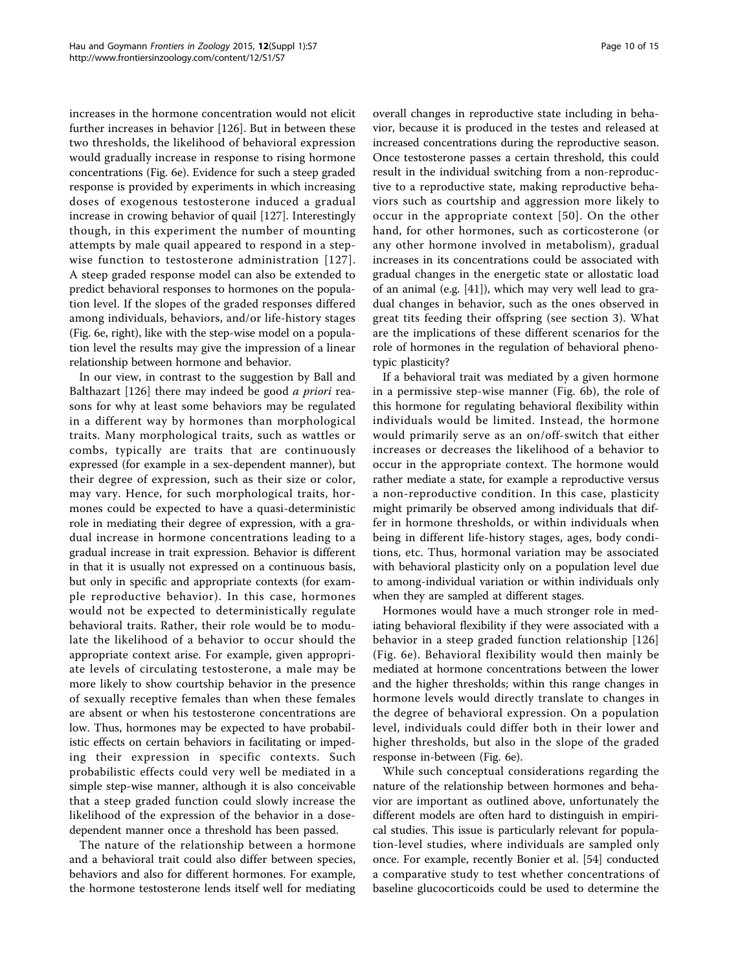increases in the hormone concentration would not elicit further increases in behavior [[126\]](#page-14-0). But in between these two thresholds, the likelihood of behavioral expression would gradually increase in response to rising hormone concentrations (Fig. [6e](#page-8-0)). Evidence for such a steep graded response is provided by experiments in which increasing doses of exogenous testosterone induced a gradual increase in crowing behavior of quail [[127\]](#page-14-0). Interestingly though, in this experiment the number of mounting attempts by male quail appeared to respond in a stepwise function to testosterone administration [[127\]](#page-14-0). A steep graded response model can also be extended to predict behavioral responses to hormones on the population level. If the slopes of the graded responses differed among individuals, behaviors, and/or life-history stages (Fig. [6e](#page-8-0), right), like with the step-wise model on a population level the results may give the impression of a linear relationship between hormone and behavior.

In our view, in contrast to the suggestion by Ball and Balthazart [\[126](#page-14-0)] there may indeed be good a priori reasons for why at least some behaviors may be regulated in a different way by hormones than morphological traits. Many morphological traits, such as wattles or combs, typically are traits that are continuously expressed (for example in a sex-dependent manner), but their degree of expression, such as their size or color, may vary. Hence, for such morphological traits, hormones could be expected to have a quasi-deterministic role in mediating their degree of expression, with a gradual increase in hormone concentrations leading to a gradual increase in trait expression. Behavior is different in that it is usually not expressed on a continuous basis, but only in specific and appropriate contexts (for example reproductive behavior). In this case, hormones would not be expected to deterministically regulate behavioral traits. Rather, their role would be to modulate the likelihood of a behavior to occur should the appropriate context arise. For example, given appropriate levels of circulating testosterone, a male may be more likely to show courtship behavior in the presence of sexually receptive females than when these females are absent or when his testosterone concentrations are low. Thus, hormones may be expected to have probabilistic effects on certain behaviors in facilitating or impeding their expression in specific contexts. Such probabilistic effects could very well be mediated in a simple step-wise manner, although it is also conceivable that a steep graded function could slowly increase the likelihood of the expression of the behavior in a dosedependent manner once a threshold has been passed.

The nature of the relationship between a hormone and a behavioral trait could also differ between species, behaviors and also for different hormones. For example, the hormone testosterone lends itself well for mediating overall changes in reproductive state including in behavior, because it is produced in the testes and released at increased concentrations during the reproductive season. Once testosterone passes a certain threshold, this could result in the individual switching from a non-reproductive to a reproductive state, making reproductive behaviors such as courtship and aggression more likely to occur in the appropriate context [\[50](#page-12-0)]. On the other hand, for other hormones, such as corticosterone (or any other hormone involved in metabolism), gradual increases in its concentrations could be associated with gradual changes in the energetic state or allostatic load of an animal (e.g. [\[41](#page-12-0)]), which may very well lead to gradual changes in behavior, such as the ones observed in great tits feeding their offspring (see section 3). What are the implications of these different scenarios for the role of hormones in the regulation of behavioral phenotypic plasticity?

If a behavioral trait was mediated by a given hormone in a permissive step-wise manner (Fig. [6b](#page-8-0)), the role of this hormone for regulating behavioral flexibility within individuals would be limited. Instead, the hormone would primarily serve as an on/off-switch that either increases or decreases the likelihood of a behavior to occur in the appropriate context. The hormone would rather mediate a state, for example a reproductive versus a non-reproductive condition. In this case, plasticity might primarily be observed among individuals that differ in hormone thresholds, or within individuals when being in different life-history stages, ages, body conditions, etc. Thus, hormonal variation may be associated with behavioral plasticity only on a population level due to among-individual variation or within individuals only when they are sampled at different stages.

Hormones would have a much stronger role in mediating behavioral flexibility if they were associated with a behavior in a steep graded function relationship [[126](#page-14-0)] (Fig. [6e\)](#page-8-0). Behavioral flexibility would then mainly be mediated at hormone concentrations between the lower and the higher thresholds; within this range changes in hormone levels would directly translate to changes in the degree of behavioral expression. On a population level, individuals could differ both in their lower and higher thresholds, but also in the slope of the graded response in-between (Fig. [6e\)](#page-8-0).

While such conceptual considerations regarding the nature of the relationship between hormones and behavior are important as outlined above, unfortunately the different models are often hard to distinguish in empirical studies. This issue is particularly relevant for population-level studies, where individuals are sampled only once. For example, recently Bonier et al. [\[54](#page-12-0)] conducted a comparative study to test whether concentrations of baseline glucocorticoids could be used to determine the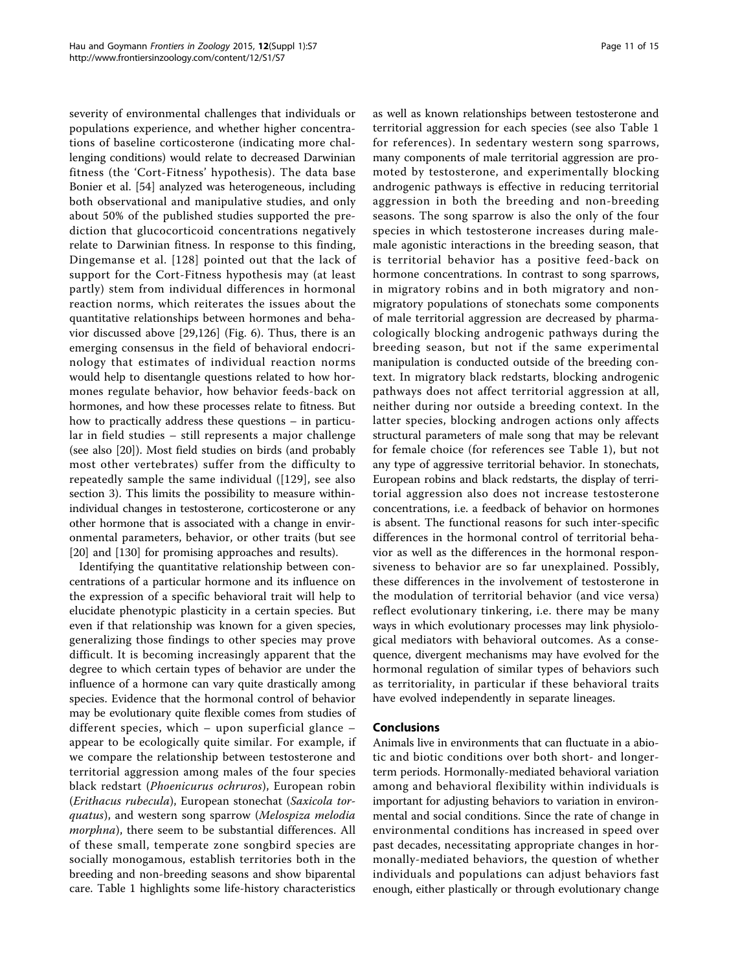severity of environmental challenges that individuals or populations experience, and whether higher concentrations of baseline corticosterone (indicating more challenging conditions) would relate to decreased Darwinian fitness (the 'Cort-Fitness' hypothesis). The data base Bonier et al. [[54\]](#page-12-0) analyzed was heterogeneous, including both observational and manipulative studies, and only about 50% of the published studies supported the prediction that glucocorticoid concentrations negatively relate to Darwinian fitness. In response to this finding, Dingemanse et al. [[128](#page-14-0)] pointed out that the lack of support for the Cort-Fitness hypothesis may (at least partly) stem from individual differences in hormonal reaction norms, which reiterates the issues about the quantitative relationships between hormones and behavior discussed above [[29,](#page-12-0)[126\]](#page-14-0) (Fig. [6](#page-8-0)). Thus, there is an emerging consensus in the field of behavioral endocrinology that estimates of individual reaction norms would help to disentangle questions related to how hormones regulate behavior, how behavior feeds-back on hormones, and how these processes relate to fitness. But how to practically address these questions – in particular in field studies – still represents a major challenge (see also [[20\]](#page-12-0)). Most field studies on birds (and probably most other vertebrates) suffer from the difficulty to repeatedly sample the same individual ([[129\]](#page-14-0), see also section 3). This limits the possibility to measure withinindividual changes in testosterone, corticosterone or any other hormone that is associated with a change in environmental parameters, behavior, or other traits (but see [[20\]](#page-12-0) and [\[130\]](#page-14-0) for promising approaches and results).

Identifying the quantitative relationship between concentrations of a particular hormone and its influence on the expression of a specific behavioral trait will help to elucidate phenotypic plasticity in a certain species. But even if that relationship was known for a given species, generalizing those findings to other species may prove difficult. It is becoming increasingly apparent that the degree to which certain types of behavior are under the influence of a hormone can vary quite drastically among species. Evidence that the hormonal control of behavior may be evolutionary quite flexible comes from studies of different species, which – upon superficial glance – appear to be ecologically quite similar. For example, if we compare the relationship between testosterone and territorial aggression among males of the four species black redstart (Phoenicurus ochruros), European robin (Erithacus rubecula), European stonechat (Saxicola torquatus), and western song sparrow (Melospiza melodia morphna), there seem to be substantial differences. All of these small, temperate zone songbird species are socially monogamous, establish territories both in the breeding and non-breeding seasons and show biparental care. Table [1](#page-11-0) highlights some life-history characteristics as well as known relationships between testosterone and territorial aggression for each species (see also Table [1](#page-11-0) for references). In sedentary western song sparrows, many components of male territorial aggression are promoted by testosterone, and experimentally blocking androgenic pathways is effective in reducing territorial aggression in both the breeding and non-breeding seasons. The song sparrow is also the only of the four species in which testosterone increases during malemale agonistic interactions in the breeding season, that is territorial behavior has a positive feed-back on hormone concentrations. In contrast to song sparrows, in migratory robins and in both migratory and nonmigratory populations of stonechats some components of male territorial aggression are decreased by pharmacologically blocking androgenic pathways during the breeding season, but not if the same experimental manipulation is conducted outside of the breeding context. In migratory black redstarts, blocking androgenic pathways does not affect territorial aggression at all, neither during nor outside a breeding context. In the latter species, blocking androgen actions only affects structural parameters of male song that may be relevant for female choice (for references see Table [1\)](#page-11-0), but not any type of aggressive territorial behavior. In stonechats, European robins and black redstarts, the display of territorial aggression also does not increase testosterone concentrations, i.e. a feedback of behavior on hormones is absent. The functional reasons for such inter-specific differences in the hormonal control of territorial behavior as well as the differences in the hormonal responsiveness to behavior are so far unexplained. Possibly, these differences in the involvement of testosterone in the modulation of territorial behavior (and vice versa) reflect evolutionary tinkering, i.e. there may be many ways in which evolutionary processes may link physiological mediators with behavioral outcomes. As a consequence, divergent mechanisms may have evolved for the hormonal regulation of similar types of behaviors such as territoriality, in particular if these behavioral traits have evolved independently in separate lineages.

# Conclusions

Animals live in environments that can fluctuate in a abiotic and biotic conditions over both short- and longerterm periods. Hormonally-mediated behavioral variation among and behavioral flexibility within individuals is important for adjusting behaviors to variation in environmental and social conditions. Since the rate of change in environmental conditions has increased in speed over past decades, necessitating appropriate changes in hormonally-mediated behaviors, the question of whether individuals and populations can adjust behaviors fast enough, either plastically or through evolutionary change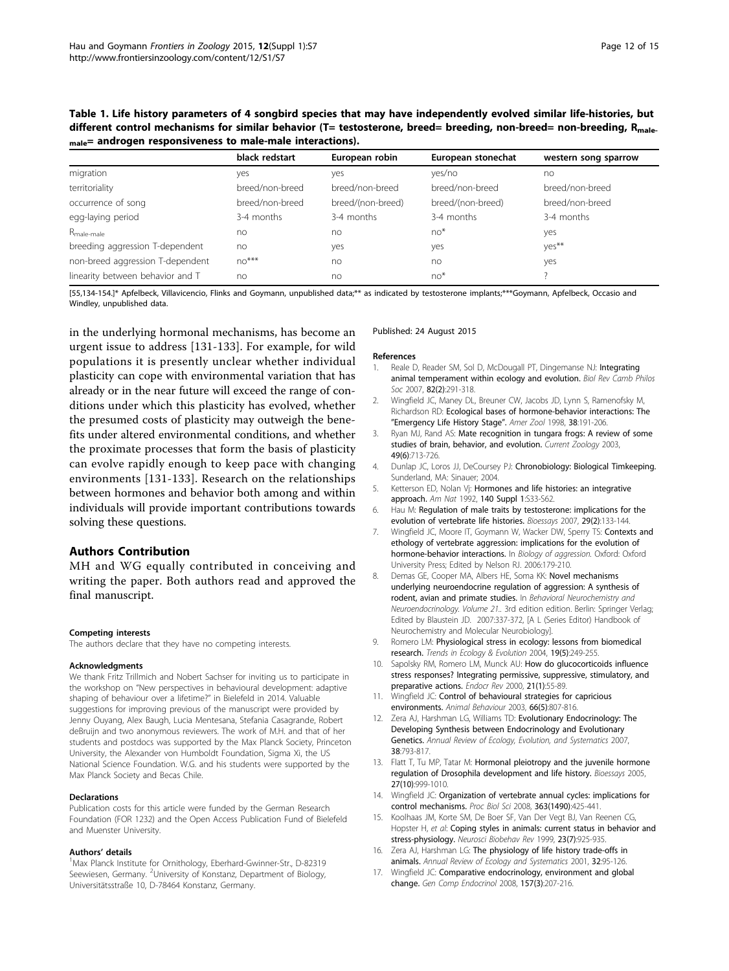<span id="page-11-0"></span>Table 1. Life history parameters of 4 songbird species that may have independently evolved similar life-histories, but different control mechanisms for similar behavior (T= testosterone, breed= breeding, non-breed= non-breeding,  $R_{male}$ male= androgen responsiveness to male-male interactions).

|                                  | black redstart  | European robin    | European stonechat | western song sparrow |
|----------------------------------|-----------------|-------------------|--------------------|----------------------|
| migration                        | yes             | yes               | yes/no             | no                   |
| territoriality                   | breed/non-breed | breed/non-breed   | breed/non-breed    | breed/non-breed      |
| occurrence of song               | breed/non-breed | breed/(non-breed) | breed/(non-breed)  | breed/non-breed      |
| egg-laying period                | 3-4 months      | 3-4 months        | 3-4 months         | 3-4 months           |
| R <sub>male-male</sub>           | no              | no                | $no*$              | yes                  |
| breeding aggression T-dependent  | no              | yes               | yes                | yes**                |
| non-breed aggression T-dependent | $no***$         | no                | no                 | yes                  |
| linearity between behavior and T | no              | no                | $no*$              |                      |

[[55,](#page-12-0)[134-154.](#page-14-0)]\* Apfelbeck, Villavicencio, Flinks and Goymann, unpublished data;\*\* as indicated by testosterone implants;\*\*\*Goymann, Apfelbeck, Occasio and Windley, unpublished data.

in the underlying hormonal mechanisms, has become an urgent issue to address [[131](#page-14-0)-[133\]](#page-14-0). For example, for wild populations it is presently unclear whether individual plasticity can cope with environmental variation that has already or in the near future will exceed the range of conditions under which this plasticity has evolved, whether the presumed costs of plasticity may outweigh the benefits under altered environmental conditions, and whether the proximate processes that form the basis of plasticity can evolve rapidly enough to keep pace with changing environments [[131-133](#page-14-0)]. Research on the relationships between hormones and behavior both among and within individuals will provide important contributions towards solving these questions.

# Authors Contribution

MH and WG equally contributed in conceiving and writing the paper. Both authors read and approved the final manuscript.

#### Competing interests

The authors declare that they have no competing interests.

#### Acknowledgments

We thank Fritz Trillmich and Nobert Sachser for inviting us to participate in the workshop on "New perspectives in behavioural development: adaptive shaping of behaviour over a lifetime?" in Bielefeld in 2014. Valuable suggestions for improving previous of the manuscript were provided by Jenny Ouyang, Alex Baugh, Lucia Mentesana, Stefania Casagrande, Robert deBruijn and two anonymous reviewers. The work of M.H. and that of her students and postdocs was supported by the Max Planck Society, Princeton University, the Alexander von Humboldt Foundation, Sigma Xi, the US National Science Foundation. W.G. and his students were supported by the Max Planck Society and Becas Chile.

#### **Declarations**

Publication costs for this article were funded by the German Research Foundation (FOR 1232) and the Open Access Publication Fund of Bielefeld and Muenster University.

#### Authors' details <sup>1</sup>

<sup>1</sup>Max Planck Institute for Ornithology, Eberhard-Gwinner-Str., D-82319 Seewiesen, Germany. <sup>2</sup>University of Konstanz, Department of Biology, Universitätsstraße 10, D-78464 Konstanz, Germany.

#### Published: 24 August 2015

#### References

- 1. Reale D, Reader SM, Sol D, McDougall PT, Dingemanse NJ: Integrating animal temperament within ecology and evolution. Biol Rev Camb Philos Soc 2007, 82(2):291-318.
- 2. Wingfield JC, Maney DL, Breuner CW, Jacobs JD, Lynn S, Ramenofsky M, Richardson RD: Ecological bases of hormone-behavior interactions: The "Emergency Life History Stage". Amer Zool 1998, 38:191-206.
- 3. Ryan MJ, Rand AS: Mate recognition in tungara frogs: A review of some studies of brain, behavior, and evolution. Current Zoology 2003, 49(6):713-726.
- 4. Dunlap JC, Loros JJ, DeCoursey PJ: Chronobiology: Biological Timkeeping. Sunderland, MA: Sinauer; 2004.
- 5. Ketterson ED, Nolan Vj: Hormones and life histories: an integrative approach. Am Nat 1992, 140 Suppl 1:S33-S62.
- 6. Hau M: Regulation of male traits by testosterone: implications for the evolution of vertebrate life histories. Bioessays 2007, 29(2):133-144.
- 7. Wingfield JC, Moore IT, Goymann W, Wacker DW, Sperry TS: Contexts and ethology of vertebrate aggression: implications for the evolution of hormone-behavior interactions. In Biology of aggression. Oxford: Oxford University Press; Edited by Nelson RJ. 2006:179-210.
- 8. Demas GE, Cooper MA, Albers HE, Soma KK: Novel mechanisms underlying neuroendocrine regulation of aggression: A synthesis of rodent, avian and primate studies. In Behavioral Neurochemistry and Neuroendocrinology. Volume 21.. 3rd edition edition. Berlin: Springer Verlag; Edited by Blaustein JD. 2007:337-372, [A L (Series Editor) Handbook of Neurochemistry and Molecular Neurobiology].
- 9. Romero LM: Physiological stress in ecology: lessons from biomedical research. Trends in Ecology & Evolution 2004, 19(5):249-255.
- 10. Sapolsky RM, Romero LM, Munck AU: How do glucocorticoids influence stress responses? Integrating permissive, suppressive, stimulatory, and preparative actions. Endocr Rev 2000, 21(1):55-89.
- 11. Wingfield JC: Control of behavioural strategies for capricious environments. Animal Behaviour 2003, 66(5):807-816.
- 12. Zera AJ, Harshman LG, Williams TD: Evolutionary Endocrinology: The Developing Synthesis between Endocrinology and Evolutionary Genetics. Annual Review of Ecology, Evolution, and Systematics 2007, 38:793-817.
- 13. Flatt T, Tu MP, Tatar M: Hormonal pleiotropy and the juvenile hormone regulation of Drosophila development and life history. Bioessays 2005, 27(10):999-1010.
- 14. Wingfield JC: Organization of vertebrate annual cycles: implications for control mechanisms. Proc Biol Sci 2008, 363(1490):425-441.
- 15. Koolhaas JM, Korte SM, De Boer SF, Van Der Vegt BJ, Van Reenen CG, Hopster H, et al: Coping styles in animals: current status in behavior and stress-physiology. Neurosci Biobehav Rev 1999, 23(7):925-935.
- 16. Zera AJ, Harshman LG: The physiology of life history trade-offs in animals. Annual Review of Ecology and Systematics 2001, 32:95-126.
- 17. Wingfield JC: Comparative endocrinology, environment and global change. Gen Comp Endocrinol 2008, 157(3):207-216.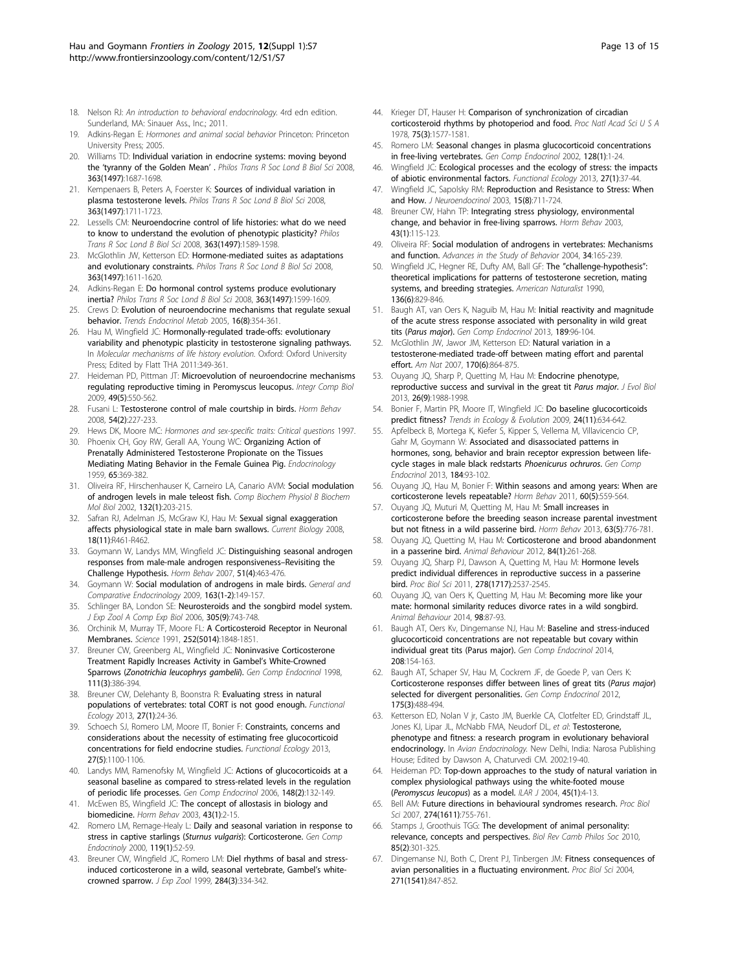- <span id="page-12-0"></span>18. Nelson RJ: An introduction to behavioral endocrinology, 4rd edn edition. Sunderland, MA: Sinauer Ass., Inc.; 2011.
- 19. Adkins-Regan E: Hormones and animal social behavior Princeton: Princeton University Press; 2005.
- 20. Williams TD: Individual variation in endocrine systems: moving beyond the 'tyranny of the Golden Mean' . Philos Trans R Soc Lond B Biol Sci 2008, 363(1497):1687-1698.
- 21. Kempenaers B, Peters A, Foerster K: Sources of individual variation in plasma testosterone levels. Philos Trans R Soc Lond B Biol Sci 2008, 363(1497):1711-1723.
- 22. Lessells CM: Neuroendocrine control of life histories: what do we need to know to understand the evolution of phenotypic plasticity? Philos Trans R Soc Lond B Biol Sci 2008, 363(1497):1589-1598.
- 23. McGlothlin JW, Ketterson ED: Hormone-mediated suites as adaptations and evolutionary constraints. Philos Trans R Soc Lond B Biol Sci 2008, 363(1497):1611-1620.
- 24. Adkins-Regan E: Do hormonal control systems produce evolutionary inertia? Philos Trans R Soc Lond B Biol Sci 2008, 363(1497):1599-1609.
- 25. Crews D: Evolution of neuroendocrine mechanisms that regulate sexual behavior. Trends Endocrinol Metab 2005, 16(8):354-361.
- 26. Hau M, Wingfield JC: Hormonally-regulated trade-offs: evolutionary variability and phenotypic plasticity in testosterone signaling pathways. In Molecular mechanisms of life history evolution. Oxford: Oxford University Press; Edited by Flatt THA 2011:349-361.
- 27. Heideman PD, Pittman JT: Microevolution of neuroendocrine mechanisms regulating reproductive timing in Peromyscus leucopus. Integr Comp Biol 2009, 49(5):550-562.
- 28. Fusani L: Testosterone control of male courtship in birds. Horm Behav 2008, 54(2):227-233.
- 29. Hews DK, Moore MC: Hormones and sex-specific traits: Critical questions 1997.
- 30. Phoenix CH, Goy RW, Gerall AA, Young WC: Organizing Action of Prenatally Administered Testosterone Propionate on the Tissues Mediating Mating Behavior in the Female Guinea Pig. Endocrinology 1959, 65:369-382.
- 31. Oliveira RF, Hirschenhauser K, Carneiro LA, Canario AVM: Social modulation of androgen levels in male teleost fish. Comp Biochem Physiol B Biochem Mol Biol 2002, 132(1):203-215.
- 32. Safran RJ, Adelman JS, McGraw KJ, Hau M: Sexual signal exaggeration affects physiological state in male barn swallows. Current Biology 2008, 18(11):R461-R462.
- 33. Goymann W, Landys MM, Wingfield JC: Distinguishing seasonal androgen responses from male-male androgen responsiveness–Revisiting the Challenge Hypothesis. Horm Behav 2007, 51(4):463-476.
- 34. Goymann W: Social modulation of androgens in male birds. General and Comparative Endocrinology 2009, 163(1-2):149-157.
- 35. Schlinger BA, London SE: Neurosteroids and the songbird model system. J Exp Zool A Comp Exp Biol 2006, 305(9):743-748.
- 36. Orchinik M, Murray TF, Moore FL: A Corticosteroid Receptor in Neuronal Membranes. Science 1991, 252(5014):1848-1851.
- 37. Breuner CW, Greenberg AL, Wingfield JC: Noninvasive Corticosterone Treatment Rapidly Increases Activity in Gambel's White-Crowned Sparrows (Zonotrichia leucophrys gambelii). Gen Comp Endocrinol 1998, 111(3):386-394.
- 38. Breuner CW, Delehanty B, Boonstra R: Evaluating stress in natural populations of vertebrates: total CORT is not good enough. Functional Ecology 2013, 27(1):24-36.
- 39. Schoech SJ, Romero LM, Moore IT, Bonier F: Constraints, concerns and considerations about the necessity of estimating free glucocorticoid concentrations for field endocrine studies. Functional Ecology 2013, 27(5):1100-1106.
- 40. Landys MM, Ramenofsky M, Wingfield JC: Actions of glucocorticoids at a seasonal baseline as compared to stress-related levels in the regulation of periodic life processes. Gen Comp Endocrinol 2006, 148(2):132-149.
- 41. McEwen BS, Wingfield JC: The concept of allostasis in biology and biomedicine. Horm Behav 2003, 43(1):2-15.
- 42. Romero LM, Remage-Healy L: Daily and seasonal variation in response to stress in captive starlings (Sturnus vulgaris): Corticosterone. Gen Comp Endocrinoly 2000, 119(1):52-59.
- 43. Breuner CW, Wingfield JC, Romero LM: Diel rhythms of basal and stressinduced corticosterone in a wild, seasonal vertebrate, Gambel's whitecrowned sparrow. J Exp Zool 1999, 284(3):334-342.
- 44. Krieger DT, Hauser H: Comparison of synchronization of circadian corticosteroid rhythms by photoperiod and food. Proc Natl Acad Sci U S A 1978, 75(3):1577-1581.
- 45. Romero LM: Seasonal changes in plasma glucocorticoid concentrations in free-living vertebrates. Gen Comp Endocrinol 2002, 128(1):1-24.
- 46. Wingfield JC: Ecological processes and the ecology of stress: the impacts of abiotic environmental factors. Functional Ecology 2013, 27(1):37-44.
- 47. Wingfield JC, Sapolsky RM: Reproduction and Resistance to Stress: When and How. J Neuroendocrinol 2003, 15(8):711-724.
- 48. Breuner CW, Hahn TP: Integrating stress physiology, environmental change, and behavior in free-living sparrows. Horm Behav 2003, 43(1):115-123.
- 49. Oliveira RF: Social modulation of androgens in vertebrates: Mechanisms and function. Advances in the Study of Behavior 2004, 34:165-239.
- 50. Wingfield JC, Hegner RE, Dufty AM, Ball GF: The "challenge-hypothesis": theoretical implications for patterns of testosterone secretion, mating systems, and breeding strategies. American Naturalist 1990, 136(6):829-846.
- 51. Baugh AT, van Oers K, Naguib M, Hau M: Initial reactivity and magnitude of the acute stress response associated with personality in wild great tits (Parus major). Gen Comp Endocrinol 2013, 189:96-104.
- 52. McGlothlin JW, Jawor JM, Ketterson ED: Natural variation in a testosterone-mediated trade-off between mating effort and parental effort. Am Nat 2007, 170(6):864-875.
- 53. Ouvang JO, Sharp P, Ouetting M, Hau M: Endocrine phenotype, reproductive success and survival in the great tit Parus major. J Evol Biol 2013, 26(9):1988-1998.
- 54. Bonier F, Martin PR, Moore IT, Wingfield JC: Do baseline glucocorticoids predict fitness? Trends in Ecology & Evolution 2009, 24(11):634-642.
- 55. Apfelbeck B, Mortega K, Kiefer S, Kipper S, Vellema M, Villavicencio CP, Gahr M, Goymann W: Associated and disassociated patterns in hormones, song, behavior and brain receptor expression between lifecycle stages in male black redstarts Phoenicurus ochruros. Gen Comp Endocrinol 2013, 184:93-102.
- 56. Ouyang JQ, Hau M, Bonier F: Within seasons and among years: When are corticosterone levels repeatable? Horm Behav 2011, 60(5):559-564.
- 57. Ouyang JQ, Muturi M, Quetting M, Hau M: Small increases in corticosterone before the breeding season increase parental investment but not fitness in a wild passerine bird. Horm Behav 2013, 63(5):776-781.
- 58. Ouyang JQ, Quetting M, Hau M: Corticosterone and brood abandonment in a passerine bird. Animal Behaviour 2012, 84(1):261-268.
- 59. Ouyang JQ, Sharp PJ, Dawson A, Quetting M, Hau M: Hormone levels predict individual differences in reproductive success in a passerine bird. Proc Biol Sci 2011, 278(1717):2537-2545.
- 60. Ouyang JQ, van Oers K, Quetting M, Hau M: Becoming more like your mate: hormonal similarity reduces divorce rates in a wild songbird. Animal Behaviour 2014, 98:87-93.
- 61. Baugh AT, Oers Kv, Dingemanse NJ, Hau M: Baseline and stress-induced glucocorticoid concentrations are not repeatable but covary within individual great tits (Parus major). Gen Comp Endocrinol 2014, 208:154-163.
- 62. Baugh AT, Schaper SV, Hau M, Cockrem JF, de Goede P, van Oers K: Corticosterone responses differ between lines of great tits (Parus major) selected for divergent personalities. Gen Comp Endocrinol 2012, 175(3):488-494.
- 63. Ketterson ED, Nolan V jr, Casto JM, Buerkle CA, Clotfelter ED, Grindstaff JL, Jones KJ, Lipar JL, McNabb FMA, Neudorf DL, et al: Testosterone, phenotype and fitness: a research program in evolutionary behavioral endocrinology. In Avian Endocrinology. New Delhi, India: Narosa Publishing House; Edited by Dawson A, Chaturvedi CM. 2002:19-40.
- 64. Heideman PD: Top-down approaches to the study of natural variation in complex physiological pathways using the white-footed mouse (Peromyscus leucopus) as a model. ILAR J 2004, 45(1):4-13.
- 65. Bell AM: Future directions in behavioural syndromes research. Proc Biol Sci 2007, 274(1611):755-761.
- 66. Stamps J, Groothuis TGG: The development of animal personality: relevance, concepts and perspectives. Biol Rev Camb Philos Soc 2010, 85(2):301-325.
- 67. Dingemanse NJ, Both C, Drent PJ, Tinbergen JM: Fitness consequences of avian personalities in a fluctuating environment. Proc Biol Sci 2004, 271(1541):847-852.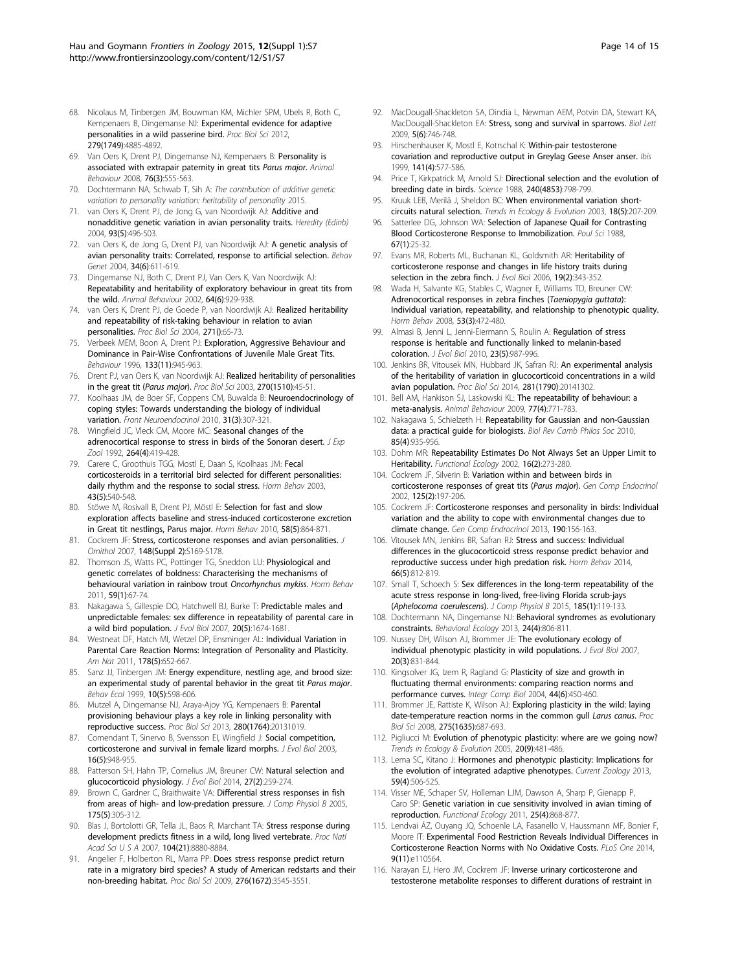- <span id="page-13-0"></span>68. Nicolaus M, Tinbergen JM, Bouwman KM, Michler SPM, Ubels R, Both C, Kempenaers B, Dingemanse NJ: Experimental evidence for adaptive personalities in a wild passerine bird. Proc Biol Sci 2012, 279(1749):4885-4892.
- 69. Van Oers K, Drent PJ, Dingemanse NJ, Kempenaers B: Personality is associated with extrapair paternity in great tits Parus major. Animal Behaviour 2008, 76(3):555-563.
- 70. Dochtermann NA, Schwab T, Sih A: The contribution of additive genetic variation to personality variation: heritability of personality 2015.
- 71. van Oers K, Drent PJ, de Jong G, van Noordwijk AJ: Additive and nonadditive genetic variation in avian personality traits. Heredity (Edinb) 2004, 93(5):496-503.
- 72. van Oers K, de Jong G, Drent PJ, van Noordwijk AJ: A genetic analysis of avian personality traits: Correlated, response to artificial selection. Behav Genet 2004, 34(6):611-619.
- 73. Dingemanse NJ, Both C, Drent PJ, Van Oers K, Van Noordwijk AJ: Repeatability and heritability of exploratory behaviour in great tits from the wild. Animal Behaviour 2002, 64(6):929-938.
- 74. van Oers K, Drent PJ, de Goede P, van Noordwijk AJ: Realized heritability and repeatability of risk-taking behaviour in relation to avian personalities. Proc Biol Sci 2004, 271():65-73.
- 75. Verbeek MEM, Boon A, Drent PJ: Exploration, Aggressive Behaviour and Dominance in Pair-Wise Confrontations of Juvenile Male Great Tits. Behaviour 1996, 133(11):945-963.
- 76. Drent PJ, van Oers K, van Noordwijk AJ: Realized heritability of personalities in the great tit (Parus major). Proc Biol Sci 2003, 270(1510):45-51.
- 77. Koolhaas JM, de Boer SF, Coppens CM, Buwalda B: Neuroendocrinology of coping styles: Towards understanding the biology of individual variation. Front Neuroendocrinol 2010, 31(3):307-321.
- 78. Wingfield JC, Vleck CM, Moore MC: Seasonal changes of the adrenocortical response to stress in birds of the Sonoran desert.  $J \, Exp$ Zool 1992, 264(4):419-428.
- 79. Carere C, Groothuis TGG, Mostl E, Daan S, Koolhaas JM: Fecal corticosteroids in a territorial bird selected for different personalities: daily rhythm and the response to social stress. Horm Behav 2003, 43(5):540-548.
- 80. Stöwe M, Rosivall B, Drent PJ, Möstl E: Selection for fast and slow exploration affects baseline and stress-induced corticosterone excretion in Great tit nestlings, Parus major. Horm Behav 2010, 58(5):864-871.
- 81. Cockrem JF: Stress, corticosterone responses and avian personalities. J Ornithol 2007, 148(Suppl 2):S169-S178.
- 82. Thomson JS, Watts PC, Pottinger TG, Sneddon LU: Physiological and genetic correlates of boldness: Characterising the mechanisms of behavioural variation in rainbow trout Oncorhynchus mykiss. Horm Behav 2011, 59(1):67-74.
- 83. Nakagawa S, Gillespie DO, Hatchwell BJ, Burke T: Predictable males and unpredictable females: sex difference in repeatability of parental care in a wild bird population. J Evol Biol 2007, 20(5):1674-1681.
- 84. Westneat DF, Hatch MI, Wetzel DP, Ensminger AL: Individual Variation in Parental Care Reaction Norms: Integration of Personality and Plasticity. Am Nat 2011, 178(5):652-667.
- 85. Sanz JJ, Tinbergen JM: Energy expenditure, nestling age, and brood size: an experimental study of parental behavior in the great tit Parus major. Behav Ecol 1999, 10(5):598-606.
- 86. Mutzel A, Dingemanse NJ, Araya-Ajoy YG, Kempenaers B: Parental provisioning behaviour plays a key role in linking personality with reproductive success. Proc Biol Sci 2013, 280(1764):20131019.
- 87. Comendant T, Sinervo B, Svensson EI, Wingfield J: Social competition, corticosterone and survival in female lizard morphs. J Evol Biol 2003, 16(5):948-955.
- 88. Patterson SH, Hahn TP, Cornelius JM, Breuner CW: Natural selection and glucocorticoid physiology. J Evol Biol 2014, 27(2):259-274.
- 89. Brown C, Gardner C, Braithwaite VA: Differential stress responses in fish from areas of high- and low-predation pressure. J Comp Physiol B 2005, 175(5):305-312.
- 90. Blas J, Bortolotti GR, Tella JL, Baos R, Marchant TA: Stress response during development predicts fitness in a wild, long lived vertebrate. Proc Natl Acad Sci U S A 2007, 104(21):8880-8884.
- 91. Angelier F, Holberton RL, Marra PP: Does stress response predict return rate in a migratory bird species? A study of American redstarts and their non-breeding habitat. Proc Biol Sci 2009, 276(1672):3545-3551.
- 92. MacDougall-Shackleton SA, Dindia L, Newman AEM, Potvin DA, Stewart KA, MacDougall-Shackleton EA: Stress, song and survival in sparrows. Biol Lett 2009, 5(6):746-748.
- 93. Hirschenhauser K, Mostl E, Kotrschal K: Within-pair testosterone covariation and reproductive output in Greylag Geese Anser anser. Ibis 1999, 141(4):577-586.
- 94. Price T, Kirkpatrick M, Arnold SJ: Directional selection and the evolution of breeding date in birds. Science 1988, 240(4853):798-799.
- Kruuk LEB, Merilä J, Sheldon BC: When environmental variation shortcircuits natural selection. Trends in Ecology & Evolution 2003, 18(5):207-209.
- 96. Satterlee DG, Johnson WA: Selection of Japanese Quail for Contrasting Blood Corticosterone Response to Immobilization. Poul Sci 1988, 67(1):25-32.
- 97. Evans MR, Roberts ML, Buchanan KL, Goldsmith AR: Heritability of corticosterone response and changes in life history traits during selection in the zebra finch. J Evol Biol 2006, 19(2):343-352.
- 98. Wada H, Salvante KG, Stables C, Wagner E, Williams TD, Breuner CW: Adrenocortical responses in zebra finches (Taeniopygia guttata): Individual variation, repeatability, and relationship to phenotypic quality. Horm Behav 2008, 53(3):472-480.
- 99. Almasi B, Jenni L, Jenni-Eiermann S, Roulin A: Regulation of stress response is heritable and functionally linked to melanin-based coloration. J Evol Biol 2010, 23(5):987-996.
- 100. Jenkins BR, Vitousek MN, Hubbard JK, Safran RJ: An experimental analysis of the heritability of variation in glucocorticoid concentrations in a wild avian population. Proc Biol Sci 2014, 281(1790):20141302.
- 101. Bell AM, Hankison SJ, Laskowski KL: The repeatability of behaviour: a meta-analysis. Animal Behaviour 2009, 77(4):771-783.
- 102. Nakagawa S, Schielzeth H: Repeatability for Gaussian and non-Gaussian data: a practical guide for biologists. Biol Rev Camb Philos Soc 2010, 85(4):935-956.
- 103. Dohm MR: Repeatability Estimates Do Not Always Set an Upper Limit to Heritability. Functional Ecology 2002, 16(2):273-280.
- 104. Cockrem JF, Silverin B: Variation within and between birds in corticosterone responses of great tits (Parus major). Gen Comp Endocrinol 2002, 125(2):197-206.
- 105. Cockrem JF: Corticosterone responses and personality in birds: Individual variation and the ability to cope with environmental changes due to climate change. Gen Comp Endrocrinol 2013, 190:156-163.
- 106. Vitousek MN, Jenkins BR, Safran RJ: Stress and success: Individual differences in the glucocorticoid stress response predict behavior and reproductive success under high predation risk. Horm Behav 2014, 66(5):812-819.
- 107. Small T, Schoech S: Sex differences in the long-term repeatability of the acute stress response in long-lived, free-living Florida scrub-jays (Aphelocoma coerulescens). J Comp Physiol B 2015, 185(1):119-133.
- 108. Dochtermann NA, Dingemanse NJ: Behavioral syndromes as evolutionary constraints. Behavioral Ecology 2013, 24(4):806-811.
- 109. Nussey DH, Wilson AJ, Brommer JE: The evolutionary ecology of individual phenotypic plasticity in wild populations. J Evol Biol 2007, 20(3):831-844.
- 110. Kingsolver JG, Izem R, Ragland G: Plasticity of size and growth in fluctuating thermal environments: comparing reaction norms and performance curves. Integr Comp Biol 2004, 44(6):450-460.
- 111. Brommer JE, Rattiste K, Wilson AJ: Exploring plasticity in the wild: laying date-temperature reaction norms in the common gull Larus canus. Proc Biol Sci 2008, 275(1635):687-693.
- 112. Pigliucci M: Evolution of phenotypic plasticity: where are we going now? Trends in Ecology & Evolution 2005, 20(9):481-486.
- 113. Lema SC, Kitano J: Hormones and phenotypic plasticity: Implications for the evolution of integrated adaptive phenotypes. Current Zoology 2013, 59(4):506-525.
- 114. Visser ME, Schaper SV, Holleman LJM, Dawson A, Sharp P, Gienapp P, Caro SP: Genetic variation in cue sensitivity involved in avian timing of reproduction. Functional Ecology 2011, 25(4):868-877.
- 115. Lendvai ÁZ, Ouyang JQ, Schoenle LA, Fasanello V, Haussmann MF, Bonier F, Moore IT: Experimental Food Restriction Reveals Individual Differences in Corticosterone Reaction Norms with No Oxidative Costs. PLoS One 2014, 9(11):e110564.
- 116. Narayan EJ, Hero JM, Cockrem JF: Inverse urinary corticosterone and testosterone metabolite responses to different durations of restraint in